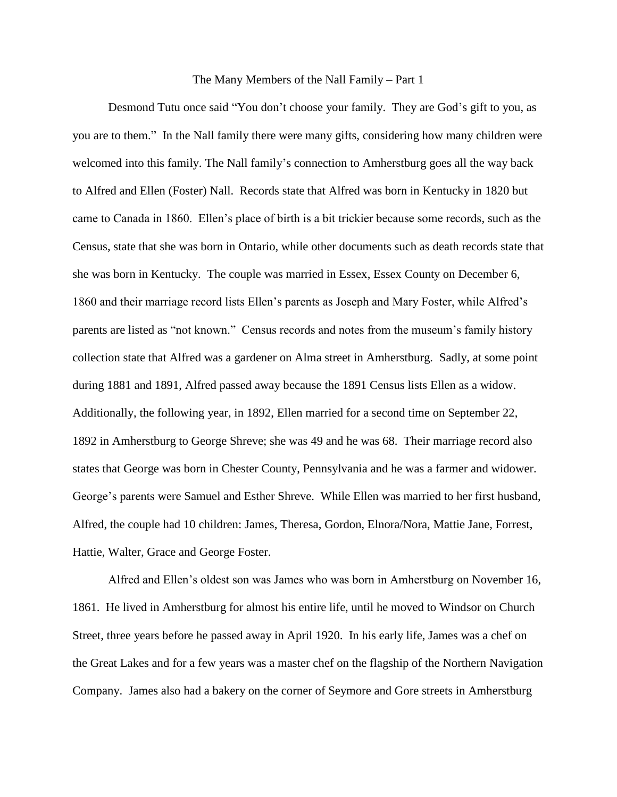## The Many Members of the Nall Family – Part 1

Desmond Tutu once said "You don't choose your family. They are God's gift to you, as you are to them." In the Nall family there were many gifts, considering how many children were welcomed into this family. The Nall family's connection to Amherstburg goes all the way back to Alfred and Ellen (Foster) Nall. Records state that Alfred was born in Kentucky in 1820 but came to Canada in 1860. Ellen's place of birth is a bit trickier because some records, such as the Census, state that she was born in Ontario, while other documents such as death records state that she was born in Kentucky. The couple was married in Essex, Essex County on December 6, 1860 and their marriage record lists Ellen's parents as Joseph and Mary Foster, while Alfred's parents are listed as "not known." Census records and notes from the museum's family history collection state that Alfred was a gardener on Alma street in Amherstburg. Sadly, at some point during 1881 and 1891, Alfred passed away because the 1891 Census lists Ellen as a widow. Additionally, the following year, in 1892, Ellen married for a second time on September 22, 1892 in Amherstburg to George Shreve; she was 49 and he was 68. Their marriage record also states that George was born in Chester County, Pennsylvania and he was a farmer and widower. George's parents were Samuel and Esther Shreve. While Ellen was married to her first husband, Alfred, the couple had 10 children: James, Theresa, Gordon, Elnora/Nora, Mattie Jane, Forrest, Hattie, Walter, Grace and George Foster.

Alfred and Ellen's oldest son was James who was born in Amherstburg on November 16, 1861. He lived in Amherstburg for almost his entire life, until he moved to Windsor on Church Street, three years before he passed away in April 1920. In his early life, James was a chef on the Great Lakes and for a few years was a master chef on the flagship of the Northern Navigation Company. James also had a bakery on the corner of Seymore and Gore streets in Amherstburg